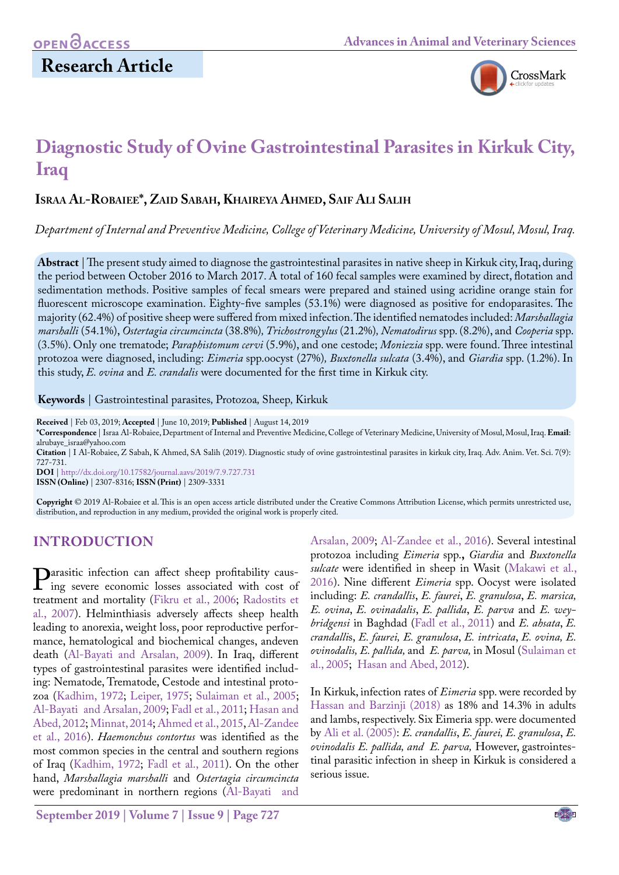# **Research Article**



# **Diagnostic Study of Ovine Gastrointestinal Parasites in Kirkuk City, Iraq**

## **Israa Al-Robaiee\*, Zaid Sabah, Khaireya Ahmed, Saif Ali Salih**

*Department of Internal and Preventive Medicine, College of Veterinary Medicine, University of Mosul, Mosul, Iraq.*

**Abstract** | The present study aimed to diagnose the gastrointestinal parasites in native sheep in Kirkuk city, Iraq, during the period between October 2016 to March 2017. A total of 160 fecal samples were examined by direct, flotation and sedimentation methods. Positive samples of fecal smears were prepared and stained using acridine orange stain for fluorescent microscope examination. Eighty-five samples (53.1%) were diagnosed as positive for endoparasites. The majority (62.4%) of positive sheep were suffered from mixed infection. The identified nematodes included: *Marshallagia marshalli* (54.1%), *Ostertagia circumcincta* (38.8%)*, Trichostrongylus* (21.2%)*, Nematodirus* spp. (8.2%), and *Cooperia* spp. (3.5%). Only one trematode; *Paraphistomum cervi* (5.9%), and one cestode; *Moniezia* spp. were found. Three intestinal protozoa were diagnosed, including: *Eimeria* spp.oocyst (27%)*, Buxtonella sulcata* (3.4%), and *Giardia* spp. (1.2%). In this study, *E. ovina* and *E. crandalis* were documented for the first time in Kirkuk city.

**Keywords** | Gastrointestinal parasites*,* Protozoa*,* Sheep*,* Kirkuk

**Received** | Feb 03, 2019; **Accepted** | June 10, 2019; **Published** | August 14, 2019

**DOI** | [http://dx.doi.org/10.17582/journal.aavs/2019](http://dx.doi.org/10.17582/journal.aavs/2019/7.9.727.731)/7.9.727.731 **ISSN (Online)** | 2307-8316; **ISSN (Print)** | 2309-3331

**Copyright** © 2019 Al-Robaiee et al. This is an open access article distributed under the Creative Commons Attribution License, which permits unrestricted use, distribution, and reproduction in any medium, provided the original work is properly cited.

## **Introduction**

**Parasitic infection can affect sheep profitability caus-**<br>ing severe economic losses associated with cost of<br>treatment and mortality (Fikru et al. 2006: Radostits et treatment and mortality (Fikru et al., 2006; Radostits et [al., 2007\)](#page-3-1). Helminthiasis adversely affects sheep health leading to anorexia, weight loss, poor reproductive performance, hematological and biochemical changes, andeven death [\(Al-Bayati and Arsalan, 2009](#page-3-2)). In Iraq, different types of gastrointestinal parasites were identified including: Nematode, Trematode, Cestode and intestinal protozoa ([Kadhim, 1972;](#page-3-3) [Leiper, 1975;](#page-3-4) [Sulaiman et al., 2005;](#page-4-0) [Al-Bayati and Arsalan, 2009;](#page-3-2) [Fadl et al., 2011;](#page-3-5) [Hasan and](#page-3-6) [Abed, 2012](#page-3-6); [Minnat, 2014](#page-3-7)[; Ahmed et al., 2015](#page-3-8), [Al-Zandee](#page-3-9) [et al., 2016\)](#page-3-9). *Haemonchus contortus* was identified as the most common species in the central and southern regions of Iraq ([Kadhim, 1972](#page-3-3); [Fadl et al., 2011\)](#page-3-5). On the other hand, *Marshallagia marshalli* and *Ostertagia circumcincta* were predominant in northern regions ([Al-Bayati and](#page-3-2)

[Arsalan, 2009](#page-3-2); [Al-Zandee et al., 2016\)](#page-3-9). Several intestinal protozoa including *Eimeria* spp.**,** *Giardia* and *Buxtonella sulcate* were identified in sheep in Wasit [\(Makawi et al.,](#page-3-10) [2016\)](#page-3-10). Nine different *Eimeria* spp. Oocyst were isolated including: *E. crandallis*, *E. faurei*, *E. granulosa*, *E. marsica, E. ovina*, *E. ovinadalis*, *E. pallida*, *E. parva* and *E. weybridgensi* in Baghdad [\(Fadl et al., 2011\)](#page-3-5) and *E. ahsata*, *E. crandalli*s, *E. faurei, E. granulosa*, *E. intricata*, *E. ovina, E. ovinodalis, E. pallida,* and *E. parva,* in Mosul ([Sulaiman et](#page-4-0) [al., 2005;](#page-4-0) [Hasan and Abed, 2012](#page-3-6)).

In Kirkuk, infection rates of *Eimeria* spp. were recorded by [Hassan and Barzinji \(2018\) a](#page-3-11)s 18% and 14.3% in adults and lambs, respectively. Six Eimeria spp. were documented by [Ali et al. \(2005\)](#page-3-12): *E. crandallis*, *E. faurei, E. granulosa*, *E. ovinodalis E. pallida, and E. parva,* However, gastrointestinal parasitic infection in sheep in Kirkuk is considered a serious issue.

**<sup>\*</sup>Correspondence** | Israa Al-Robaiee, Department of Internal and Preventive Medicine, College of Veterinary Medicine, University of Mosul, Mosul, Iraq. **Email**: alrubaye\_israa@yahoo.com

**Citation** | I Al-Robaiee, Z Sabah, K Ahmed, SA Salih (2019). Diagnostic study of ovine gastrointestinal parasites in kirkuk city, Iraq. Adv. Anim. Vet. Sci. 7(9): 727-731.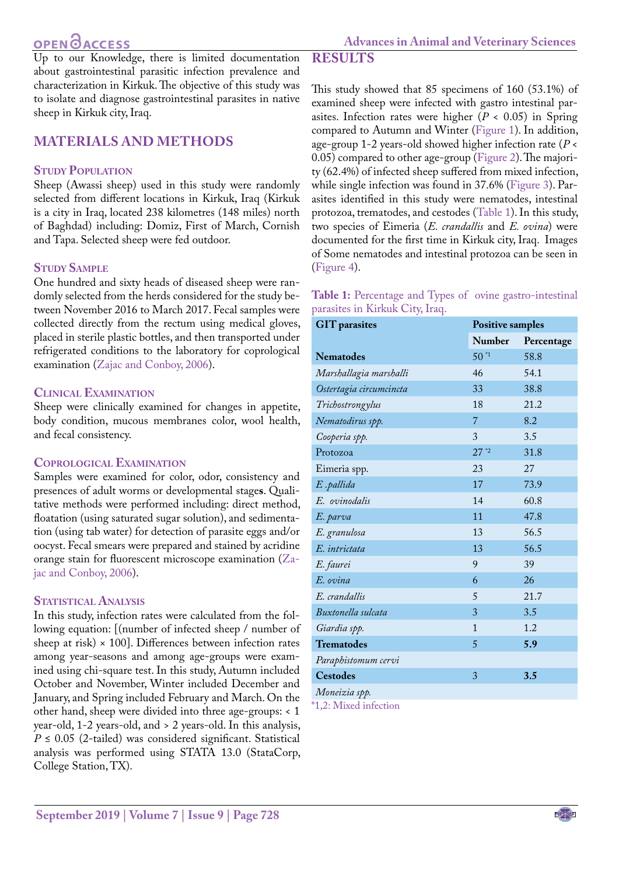**Results**

Up to our Knowledge, there is limited documentation about gastrointestinal parasitic infection prevalence and characterization in Kirkuk. The objective of this study was to isolate and diagnose gastrointestinal parasites in native sheep in Kirkuk city, Iraq.

# **Materials and Methods**

### **STUDY POPULATION**

Sheep (Awassi sheep) used in this study were randomly selected from different locations in Kirkuk, Iraq (Kirkuk is a city in [Iraq](https://en.wikipedia.org/wiki/Iraq), located 238 kilometres (148 miles) north of [Baghdad\)](https://en.wikipedia.org/wiki/Baghdad) including: Domiz, First of March, Cornish and Tapa. Selected sheep were fed outdoor.

#### **Study Sample**

One hundred and sixty heads of diseased sheep were randomly selected from the herds considered for the study between November 2016 to March 2017. Fecal samples were collected directly from the rectum using medical gloves, placed in sterile plastic bottles, and then transported under refrigerated conditions to the laboratory for coprological examination [\(Zajac and Conboy, 2006](#page-4-1)).

#### **Clinical Examination**

Sheep were clinically examined for changes in appetite, body condition, mucous membranes color, wool health, and fecal consistency.

#### **Coprological Examination**

Samples were examined for color, odor, consistency and presences of adult worms or developmental stage**s**. Qualitative methods were performed including: direct method, floatation (using saturated sugar solution), and sedimentation (using tab water) for detection of parasite eggs and/or oocyst. Fecal smears were prepared and stained by acridine orange stain for fluorescent microscope examination [\(Za](#page-4-1)[jac and Conboy, 2006](#page-4-1)).

#### **Statistical Analysis**

In this study, infection rates were calculated from the following equation: [(number of infected sheep / number of sheep at risk)  $\times$  100]. Differences between infection rates among year-seasons and among age-groups were examined using chi-square test. In this study, Autumn included October and November, Winter included December and January, and Spring included February and March. On the other hand, sheep were divided into three age-groups: < 1 year-old, 1-2 years-old, and > 2 years-old. In this analysis,  $P \le 0.05$  (2-tailed) was considered significant. Statistical analysis was performed using STATA 13.0 (StataCorp, College Station, TX).

This study showed that 85 specimens of 160 (53.1%) of examined sheep were infected with gastro intestinal parasites. Infection rates were higher (*P* < 0.05) in Spring compared to Autumn and Winter [\(Figure 1](#page-2-0)). In addition, age-group 1-2 years-old showed higher infection rate (*P* < 0.05) compared to other age-group [\(Figure 2](#page-2-1)). The majority (62.4%) of infected sheep suffered from mixed infection, while single infection was found in 37.6% ([Figure 3\)](#page-2-2). Parasites identified in this study were nematodes, intestinal protozoa, trematodes, and cestodes ([Table 1](#page-1-0)). In this study, two species of Eimeria (*E. crandallis* and *E. ovina*) were documented for the first time in Kirkuk city, Iraq. Images of Some nematodes and intestinal protozoa can be seen in [\(Figure 4\)](#page-2-3).

<span id="page-1-0"></span>

| Table 1: Percentage and Types of ovine gastro-intestinal |  |
|----------------------------------------------------------|--|
| parasites in Kirkuk City, Iraq.                          |  |

| <b>GIT</b> parasites    | <b>Positive samples</b> |            |
|-------------------------|-------------------------|------------|
|                         | <b>Number</b>           | Percentage |
| <b>Nematodes</b>        | $50^{*1}$               | 58.8       |
| Marshallagia marshalli  | 46                      | 54.1       |
| Ostertagia circumcincta | 33                      | 38.8       |
| Trichostrongylus        | 18                      | 21.2       |
| Nematodirus spp.        | 7                       | 8.2        |
| Cooperia spp.           | 3                       | 3.5        |
| Protozoa                | $27^{2}$                | 31.8       |
| Eimeria spp.            | 23                      | 27         |
| E.pallida               | 17                      | 73.9       |
| E. ovinodalis           | 14                      | 60.8       |
| E. parva                | 11                      | 47.8       |
| E. granulosa            | 13                      | 56.5       |
| E. intrictata           | 13                      | 56.5       |
| E. faurei               | 9                       | 39         |
| E. ovina                | 6                       | 26         |
| E. crandallis           | 5                       | 21.7       |
| Buxtonella sulcata      | 3                       | 3.5        |
| Giardia spp.            | $\mathbf{1}$            | 1.2        |
| <b>Trematodes</b>       | 5                       | 5.9        |
| Paraphistomum cervi     |                         |            |
| <b>Cestodes</b>         | 3                       | 3.5        |
| Moneizia spp.           |                         |            |

\*1,2: Mixed infection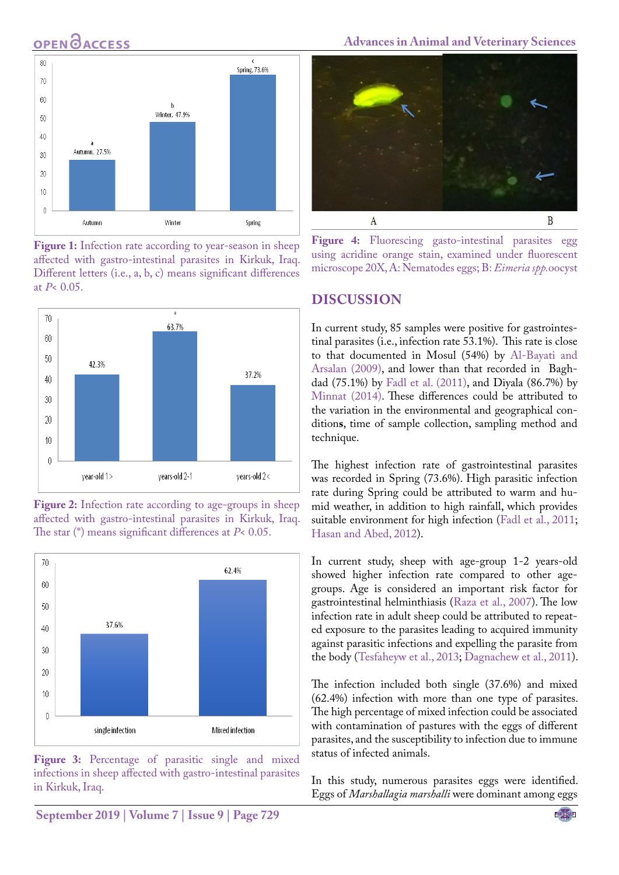

<span id="page-2-0"></span>**Figure 1:** Infection rate according to year-season in sheep affected with gastro-intestinal parasites in Kirkuk, Iraq. Different letters (i.e., a, b, c) means significant differences at *P*< 0.05.



<span id="page-2-1"></span>



<span id="page-2-2"></span>Figure 3: Percentage of parasitic single and mixed infections in sheep affected with gastro-intestinal parasites in Kirkuk, Iraq.

**Advances in Animal and Veterinary Sciences**



<span id="page-2-3"></span>**Figure 4:** Fluorescing gasto-intestinal parasites egg using acridine orange stain, examined under fluorescent microscope 20X, A: Nematodes eggs; B: *Eimeria spp.*oocyst

#### **Discussion**

In current study, 85 samples were positive for gastrointestinal parasites (i.e., infection rate 53.1%). This rate is close to that documented in Mosul (54%) by [Al-Bayati and](#page-3-2)  [Arsalan \(2009\)](#page-3-2), and lower than that recorded in Baghdad (75.1%) by [Fadl et al. \(2011\),](#page-3-5) and Diyala (86.7%) by [Minnat \(2014\)](#page-3-7). These differences could be attributed to the variation in the environmental and geographical condition**s**, time of sample collection, sampling method and technique.

The highest infection rate of gastrointestinal parasites was recorded in Spring (73.6%). High parasitic infection rate during Spring could be attributed to warm and humid weather, in addition to high rainfall, which provides suitable environment for high infection [\(Fadl et al., 2011](#page-3-5); [Hasan and Abed, 2012\)](#page-3-6).

In current study, sheep with age-group 1-2 years-old showed higher infection rate compared to other agegroups. Age is considered an important risk factor for gastrointestinal helminthiasis [\(Raza et al., 2007](#page-3-13)). The low infection rate in adult sheep could be attributed to repeated exposure to the parasites leading to acquired immunity against parasitic infections and expelling the parasite from the body ([Tesfaheyw et al., 2013;](#page-4-2) [Dagnachew et al., 2011\)](#page-3-14).

The infection included both single (37.6%) and mixed (62.4%) infection with more than one type of parasites. The high percentage of mixed infection could be associated with contamination of pastures with the eggs of different parasites, and the susceptibility to infection due to immune status of infected animals.

In this study, numerous parasites eggs were identified. Eggs of *Marshallagia marshalli* were dominant among eggs

**September 2019 | Volume 7 | Issue 9 | Page 729**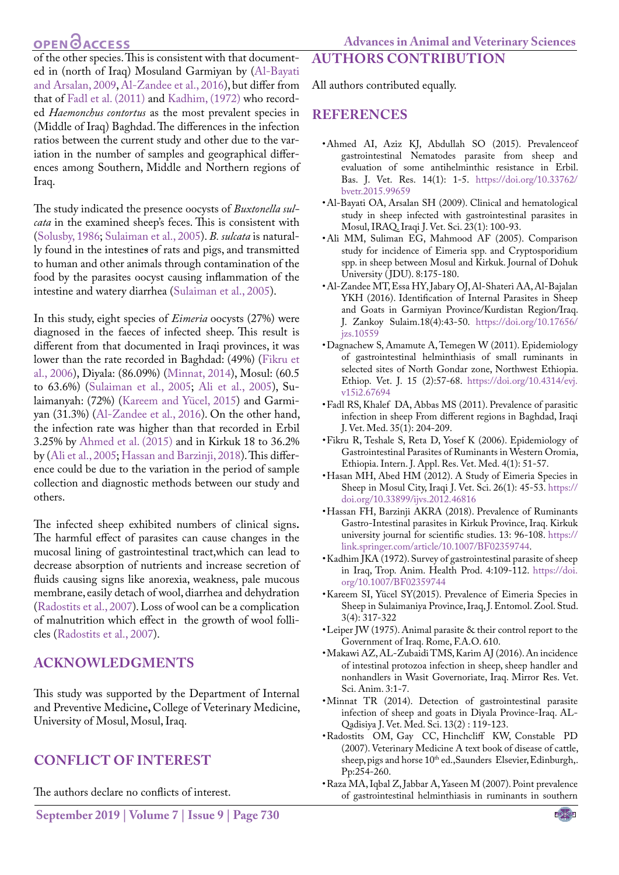of the other species. This is consistent with that documented in (north of Iraq) Mosuland Garmiyan by ([Al-Bayati](#page-3-2) [and Arsalan, 2009,](#page-3-2) [Al-Zandee et al., 2016](#page-3-9)), but differ from that of [Fadl et al. \(2011\)](#page-3-5) and [Kadhim, \(1972\)](#page-3-3) who recorded *Haemonchus contortus* as the most prevalent species in (Middle of Iraq) Baghdad. The differences in the infection ratios between the current study and other due to the variation in the number of samples and geographical differences among Southern, Middle and Northern regions of Iraq.

The study indicated the presence oocysts of *Buxtonella sulcata* in the examined sheep's feces. This is consistent with [\(Solusby, 1986](#page-4-3); [Sulaiman et al., 2005](#page-4-0)). *B. sulcata* is naturally found in the intestines of rats and pigs, and transmitted to human and other animals through contamination of the food by the parasites oocyst causing inflammation of the intestine and watery diarrhea [\(Sulaiman et al., 2005\)](#page-4-0).

In this study, eight species of *Eimeria* oocysts (27%) were diagnosed in the faeces of infected sheep. This result is different from that documented in Iraqi provinces, it was lower than the rate recorded in Baghdad: (49%) [\(Fikru et](#page-3-0) [al., 2006](#page-3-0)), Diyala: (86.09%) ([Minnat, 2014\)](#page-3-7), Mosul: (60.5 to 63.6%) ([Sulaiman et al., 2005;](#page-4-0) [Ali et al., 2005\)](#page-3-12), Sulaimanyah: (72%) (Kareem and Yücel, 2015) and Garmiyan (31.3%) ([Al-Zandee et al., 2016](#page-3-9)). On the other hand, the infection rate was higher than that recorded in Erbil 3.25% by [Ahmed et al. \(2015\)](#page-3-8) and in Kirkuk 18 to 36.2% by ([Ali et al., 2005](#page-3-12); [Hassan and Barzinji, 2018\)](#page-3-11). This difference could be due to the variation in the period of sample collection and diagnostic methods between our study and others.

The infected sheep exhibited numbers of clinical signs**.** The harmful effect of parasites can cause changes in the mucosal lining of gastrointestinal tract,which can lead to decrease absorption of nutrients and increase secretion of fluids causing signs like anorexia, weakness, pale mucous membrane, easily detach of wool, diarrhea and dehydration [\(Radostits et al., 2007](#page-3-1)). Loss of wool can be a complication of malnutrition which effect in the growth of wool follicles [\(Radostits et al., 2007](#page-3-1)).

## **Acknowledgments**

This study was supported by the Department of Internal and Preventive Medicine**,** College of Veterinary Medicine, University of Mosul, Mosul, Iraq.

## **Conflict of Interest**

The authors declare no conflicts of interest.

# All authors contributed equally.

**Authors Contribution**

### **References**

- <span id="page-3-8"></span>• Ahmed AI, Aziz KJ, Abdullah SO (2015). Prevalenceof gastrointestinal Nematodes parasite from sheep and evaluation of some antihelminthic resistance in Erbil. Bas. J. Vet. Res. 14(1): 1-5. [https://doi.org/10.33762/](https://doi.org/10.33762/bvetr.2015.99659 ) [bvetr.2015.99659](https://doi.org/10.33762/bvetr.2015.99659 )
- <span id="page-3-2"></span>• Al-Bayati OA, Arsalan SH (2009). Clinical and hematological study in sheep infected with gastrointestinal parasites in Mosul, IRAQ. Iraqi J. Vet. Sci. 23(1): 100-93.
- <span id="page-3-12"></span>• Ali MM, Suliman EG, Mahmood AF (2005). Comparison study for incidence of Eimeria spp. and Cryptosporidium spp. in sheep between Mosul and Kirkuk. Journal of Dohuk University ( JDU). 8:175-180.
- <span id="page-3-9"></span>• Al-Zandee MT, Essa HY, Jabary OJ, Al-Shateri AA, Al-Bajalan YKH (2016). Identification of Internal Parasites in Sheep and Goats in Garmiyan Province/Kurdistan Region/Iraq. J. Zankoy Sulaim.18(4):43-50. [https://doi.org/10.17656/](https://doi.org/10.17656/jzs.10559 ) [jzs.10559](https://doi.org/10.17656/jzs.10559 )
- <span id="page-3-14"></span>• Dagnachew S, Amamute A, Temegen W (2011). Epidemiology of gastrointestinal helminthiasis of small ruminants in selected sites of North Gondar zone, Northwest Ethiopia. Ethiop. Vet. J. 15 (2):57-68. [https://doi.org/10.4314/evj.](https://doi.org/10.4314/evj.v15i2.67694 ) [v15i2.67694](https://doi.org/10.4314/evj.v15i2.67694 )
- <span id="page-3-5"></span>• Fadl RS, Khalef DA, Abbas MS (2011). Prevalence of parasitic infection in sheep From different regions in Baghdad, Iraqi J. Vet. Med. 35(1): 204-209.
- <span id="page-3-0"></span>• Fikru R, Teshale S, Reta D, Yosef K (2006). Epidemiology of Gastrointestinal Parasites of Ruminants in Western Oromia, Ethiopia. Intern. J. Appl. Res. Vet. Med. 4(1): 51-57.
- <span id="page-3-6"></span>• Hasan MH, Abed HM (2012). A Study of Eimeria Species in Sheep in Mosul City, Iraqi J. Vet. Sci. 26(1): 45-53. [https://](https://doi.org/10.33899/ijvs.2012.46816 ) [doi.org/10.33899/ijvs.2012.46816](https://doi.org/10.33899/ijvs.2012.46816 )
- <span id="page-3-11"></span>• Hassan FH, Barzinji AKRA (2018). Prevalence of Ruminants Gastro-Intestinal parasites in Kirkuk Province, Iraq. Kirkuk university journal for scientific studies. 13: 96-108. [https://](https://link.springer.com/article/10.1007/BF02359744) [link.springer.com/article/10.1007/BF02359744](https://link.springer.com/article/10.1007/BF02359744).
- <span id="page-3-3"></span>• Kadhim JKA (1972). Survey of gastrointestinal parasite of sheep in Iraq, Trop. Anim. Health Prod. 4:109-112. [https://doi.](https://doi.org/10.1007/BF02359744 ) [org/10.1007/BF02359744](https://doi.org/10.1007/BF02359744 )
- • Kareem SI, Yücel SY(2015). Prevalence of Eimeria Species in Sheep in Sulaimaniya Province, Iraq, J. Entomol. Zool. Stud. 3(4): 317-322
- <span id="page-3-4"></span>• Leiper JW (1975). Animal parasite & their control report to the Government of Iraq. Rome, F.A.O. 610.
- <span id="page-3-10"></span>• Makawi AZ, AL-Zubaidi TMS, Karim AJ (2016). An incidence of intestinal protozoa infection in sheep, sheep handler and nonhandlers in Wasit Governoriate, Iraq. Mirror Res. Vet. Sci. Anim. 3:1-7.
- <span id="page-3-7"></span>• Minnat TR (2014). Detection of gastrointestinal parasite infection of sheep and goats in Diyala Province-Iraq. AL-Qadisiya J. Vet. Med. Sci. 13(2) : 119-123.
- <span id="page-3-1"></span>• Radostits OM, Gay CC, Hinchcliff KW, Constable PD (2007). Veterinary Medicine A text book of disease of cattle, sheep, pigs and horse 10<sup>th</sup> ed., Saunders Elsevier, Edinburgh,. Pp:254-260.
- <span id="page-3-13"></span>• Raza MA, Iqbal Z, Jabbar A, Yaseen M (2007). Point prevalence of gastrointestinal helminthiasis in ruminants in southern